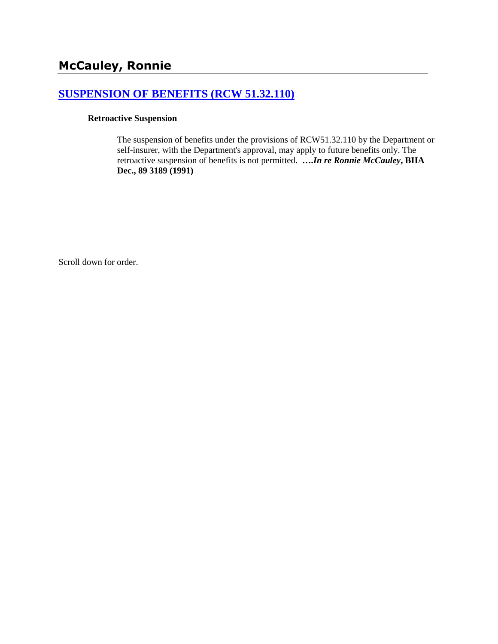# **[SUSPENSION OF BENEFITS \(RCW 51.32.110\)](http://www.biia.wa.gov/SDSubjectIndex.html#SUSPENSION_OF_BENEFITS)**

#### **Retroactive Suspension**

The suspension of benefits under the provisions of RCW51.32.110 by the Department or self-insurer, with the Department's approval, may apply to future benefits only. The retroactive suspension of benefits is not permitted. **….***In re Ronnie McCauley***, BIIA Dec., 89 3189 (1991)** 

Scroll down for order.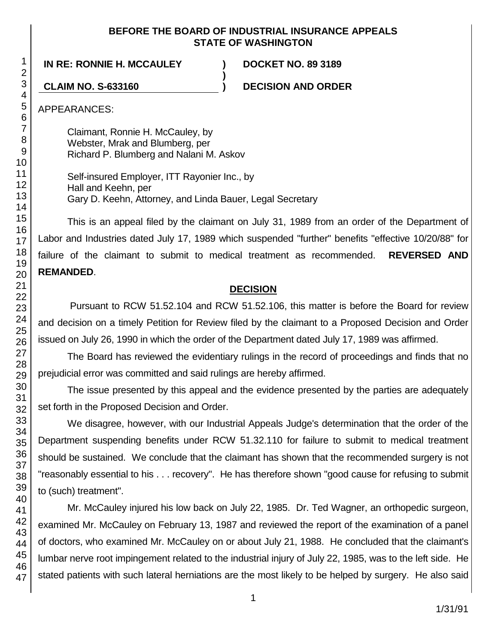### **BEFORE THE BOARD OF INDUSTRIAL INSURANCE APPEALS STATE OF WASHINGTON**

**)**

**IN RE: RONNIE H. MCCAULEY ) DOCKET NO. 89 3189**

**CLAIM NO. S-633160 ) DECISION AND ORDER**

APPEARANCES:

Claimant, Ronnie H. McCauley, by Webster, Mrak and Blumberg, per Richard P. Blumberg and Nalani M. Askov

Self-insured Employer, ITT Rayonier Inc., by Hall and Keehn, per Gary D. Keehn, Attorney, and Linda Bauer, Legal Secretary

This is an appeal filed by the claimant on July 31, 1989 from an order of the Department of Labor and Industries dated July 17, 1989 which suspended "further" benefits "effective 10/20/88" for failure of the claimant to submit to medical treatment as recommended. **REVERSED AND REMANDED**.

# **DECISION**

Pursuant to RCW 51.52.104 and RCW 51.52.106, this matter is before the Board for review and decision on a timely Petition for Review filed by the claimant to a Proposed Decision and Order issued on July 26, 1990 in which the order of the Department dated July 17, 1989 was affirmed.

The Board has reviewed the evidentiary rulings in the record of proceedings and finds that no prejudicial error was committed and said rulings are hereby affirmed.

The issue presented by this appeal and the evidence presented by the parties are adequately set forth in the Proposed Decision and Order.

We disagree, however, with our Industrial Appeals Judge's determination that the order of the Department suspending benefits under RCW 51.32.110 for failure to submit to medical treatment should be sustained. We conclude that the claimant has shown that the recommended surgery is not "reasonably essential to his . . . recovery". He has therefore shown "good cause for refusing to submit to (such) treatment".

Mr. McCauley injured his low back on July 22, 1985. Dr. Ted Wagner, an orthopedic surgeon, examined Mr. McCauley on February 13, 1987 and reviewed the report of the examination of a panel of doctors, who examined Mr. McCauley on or about July 21, 1988. He concluded that the claimant's lumbar nerve root impingement related to the industrial injury of July 22, 1985, was to the left side. He stated patients with such lateral herniations are the most likely to be helped by surgery. He also said

1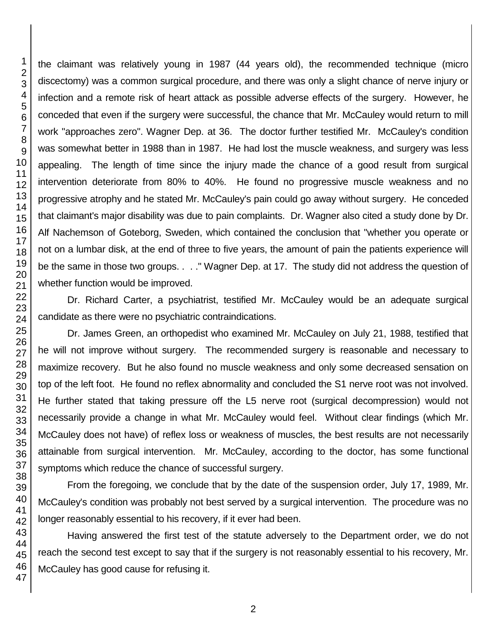the claimant was relatively young in 1987 (44 years old), the recommended technique (micro discectomy) was a common surgical procedure, and there was only a slight chance of nerve injury or infection and a remote risk of heart attack as possible adverse effects of the surgery. However, he conceded that even if the surgery were successful, the chance that Mr. McCauley would return to mill work "approaches zero". Wagner Dep. at 36. The doctor further testified Mr. McCauley's condition was somewhat better in 1988 than in 1987. He had lost the muscle weakness, and surgery was less appealing. The length of time since the injury made the chance of a good result from surgical intervention deteriorate from 80% to 40%. He found no progressive muscle weakness and no progressive atrophy and he stated Mr. McCauley's pain could go away without surgery. He conceded that claimant's major disability was due to pain complaints. Dr. Wagner also cited a study done by Dr. Alf Nachemson of Goteborg, Sweden, which contained the conclusion that "whether you operate or not on a lumbar disk, at the end of three to five years, the amount of pain the patients experience will be the same in those two groups. . . ." Wagner Dep. at 17. The study did not address the question of whether function would be improved.

Dr. Richard Carter, a psychiatrist, testified Mr. McCauley would be an adequate surgical candidate as there were no psychiatric contraindications.

Dr. James Green, an orthopedist who examined Mr. McCauley on July 21, 1988, testified that he will not improve without surgery. The recommended surgery is reasonable and necessary to maximize recovery. But he also found no muscle weakness and only some decreased sensation on top of the left foot. He found no reflex abnormality and concluded the S1 nerve root was not involved. He further stated that taking pressure off the L5 nerve root (surgical decompression) would not necessarily provide a change in what Mr. McCauley would feel. Without clear findings (which Mr. McCauley does not have) of reflex loss or weakness of muscles, the best results are not necessarily attainable from surgical intervention. Mr. McCauley, according to the doctor, has some functional symptoms which reduce the chance of successful surgery.

From the foregoing, we conclude that by the date of the suspension order, July 17, 1989, Mr. McCauley's condition was probably not best served by a surgical intervention. The procedure was no longer reasonably essential to his recovery, if it ever had been.

Having answered the first test of the statute adversely to the Department order, we do not reach the second test except to say that if the surgery is not reasonably essential to his recovery, Mr. McCauley has good cause for refusing it.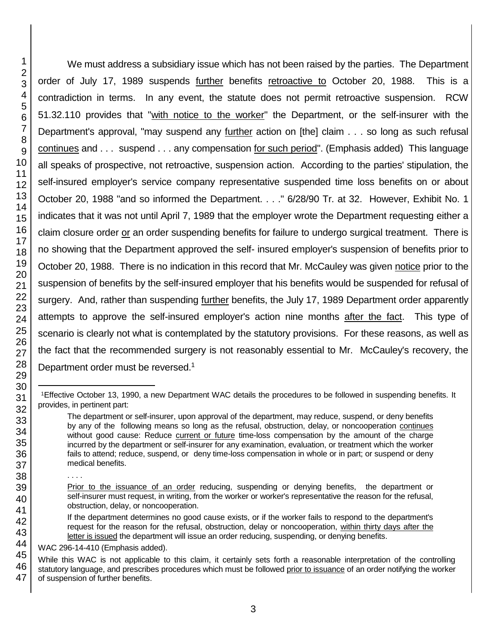We must address a subsidiary issue which has not been raised by the parties. The Department order of July 17, 1989 suspends further benefits retroactive to October 20, 1988. This is a contradiction in terms. In any event, the statute does not permit retroactive suspension. RCW 51.32.110 provides that "with notice to the worker" the Department, or the self-insurer with the Department's approval, "may suspend any further action on [the] claim . . . so long as such refusal continues and . . . suspend . . . any compensation for such period". (Emphasis added) This language all speaks of prospective, not retroactive, suspension action. According to the parties' stipulation, the self-insured employer's service company representative suspended time loss benefits on or about October 20, 1988 "and so informed the Department. . . ." 6/28/90 Tr. at 32. However, Exhibit No. 1 indicates that it was not until April 7, 1989 that the employer wrote the Department requesting either a claim closure order or an order suspending benefits for failure to undergo surgical treatment. There is no showing that the Department approved the self- insured employer's suspension of benefits prior to October 20, 1988. There is no indication in this record that Mr. McCauley was given notice prior to the suspension of benefits by the self-insured employer that his benefits would be suspended for refusal of surgery. And, rather than suspending further benefits, the July 17, 1989 Department order apparently attempts to approve the self-insured employer's action nine months after the fact. This type of scenario is clearly not what is contemplated by the statutory provisions. For these reasons, as well as the fact that the recommended surgery is not reasonably essential to Mr. McCauley's recovery, the Department order must be reversed.<sup>1</sup>

. . . .

If the department determines no good cause exists, or if the worker fails to respond to the department's request for the reason for the refusal, obstruction, delay or noncooperation, within thirty days after the letter is issued the department will issue an order reducing, suspending, or denying benefits.

WAC 296-14-410 (Emphasis added).

l <sup>1</sup>Effective October 13, 1990, a new Department WAC details the procedures to be followed in suspending benefits. It provides, in pertinent part:

The department or self-insurer, upon approval of the department, may reduce, suspend, or deny benefits by any of the following means so long as the refusal, obstruction, delay, or noncooperation continues without good cause: Reduce current or future time-loss compensation by the amount of the charge incurred by the department or self-insurer for any examination, evaluation, or treatment which the worker fails to attend; reduce, suspend, or deny time-loss compensation in whole or in part; or suspend or deny medical benefits.

Prior to the issuance of an order reducing, suspending or denying benefits, the department or self-insurer must request, in writing, from the worker or worker's representative the reason for the refusal, obstruction, delay, or noncooperation.

While this WAC is not applicable to this claim, it certainly sets forth a reasonable interpretation of the controlling statutory language, and prescribes procedures which must be followed prior to issuance of an order notifying the worker of suspension of further benefits.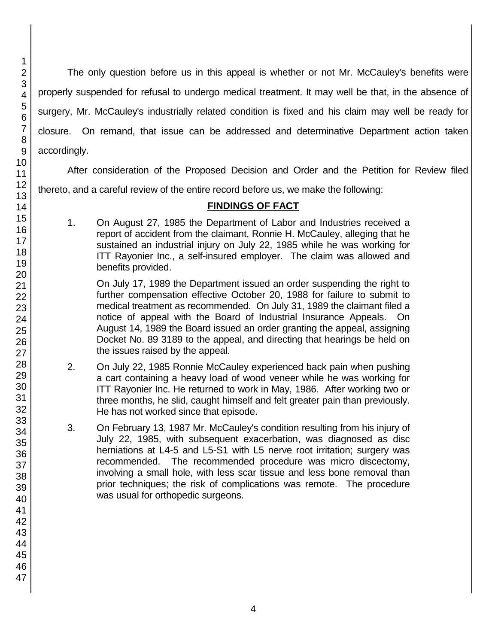The only question before us in this appeal is whether or not Mr. McCauley's benefits were properly suspended for refusal to undergo medical treatment. It may well be that, in the absence of surgery, Mr. McCauley's industrially related condition is fixed and his claim may well be ready for closure. On remand, that issue can be addressed and determinative Department action taken accordingly.

After consideration of the Proposed Decision and Order and the Petition for Review filed

thereto, and a careful review of the entire record before us, we make the following:

## **FINDINGS OF FACT**

1. On August 27, 1985 the Department of Labor and Industries received a report of accident from the claimant, Ronnie H. McCauley, alleging that he sustained an industrial injury on July 22, 1985 while he was working for ITT Rayonier Inc., a self-insured employer. The claim was allowed and benefits provided.

On July 17, 1989 the Department issued an order suspending the right to further compensation effective October 20, 1988 for failure to submit to medical treatment as recommended. On July 31, 1989 the claimant filed a notice of appeal with the Board of Industrial Insurance Appeals. On August 14, 1989 the Board issued an order granting the appeal, assigning Docket No. 89 3189 to the appeal, and directing that hearings be held on the issues raised by the appeal.

- 2. On July 22, 1985 Ronnie McCauley experienced back pain when pushing a cart containing a heavy load of wood veneer while he was working for ITT Rayonier Inc. He returned to work in May, 1986. After working two or three months, he slid, caught himself and felt greater pain than previously. He has not worked since that episode.
- 3. On February 13, 1987 Mr. McCauley's condition resulting from his injury of July 22, 1985, with subsequent exacerbation, was diagnosed as disc herniations at L4-5 and L5-S1 with L5 nerve root irritation; surgery was recommended. The recommended procedure was micro discectomy, involving a small hole, with less scar tissue and less bone removal than prior techniques; the risk of complications was remote. The procedure was usual for orthopedic surgeons.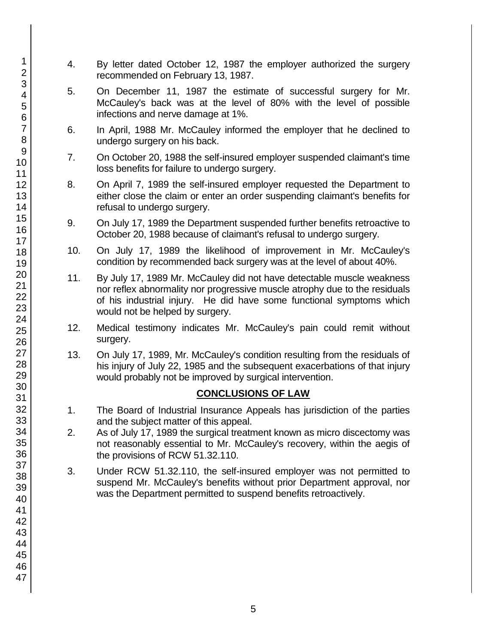- 4. By letter dated October 12, 1987 the employer authorized the surgery recommended on February 13, 1987.
- 5. On December 11, 1987 the estimate of successful surgery for Mr. McCauley's back was at the level of 80% with the level of possible infections and nerve damage at 1%.
- 6. In April, 1988 Mr. McCauley informed the employer that he declined to undergo surgery on his back.
- 7. On October 20, 1988 the self-insured employer suspended claimant's time loss benefits for failure to undergo surgery.
- 8. On April 7, 1989 the self-insured employer requested the Department to either close the claim or enter an order suspending claimant's benefits for refusal to undergo surgery.
- 9. On July 17, 1989 the Department suspended further benefits retroactive to October 20, 1988 because of claimant's refusal to undergo surgery.
- 10. On July 17, 1989 the likelihood of improvement in Mr. McCauley's condition by recommended back surgery was at the level of about 40%.
- 11. By July 17, 1989 Mr. McCauley did not have detectable muscle weakness nor reflex abnormality nor progressive muscle atrophy due to the residuals of his industrial injury. He did have some functional symptoms which would not be helped by surgery.
- 12. Medical testimony indicates Mr. McCauley's pain could remit without surgery.
- 13. On July 17, 1989, Mr. McCauley's condition resulting from the residuals of his injury of July 22, 1985 and the subsequent exacerbations of that injury would probably not be improved by surgical intervention.

# **CONCLUSIONS OF LAW**

- 1. The Board of Industrial Insurance Appeals has jurisdiction of the parties and the subject matter of this appeal.
- 2. As of July 17, 1989 the surgical treatment known as micro discectomy was not reasonably essential to Mr. McCauley's recovery, within the aegis of the provisions of RCW 51.32.110.
- 3. Under RCW 51.32.110, the self-insured employer was not permitted to suspend Mr. McCauley's benefits without prior Department approval, nor was the Department permitted to suspend benefits retroactively.

1